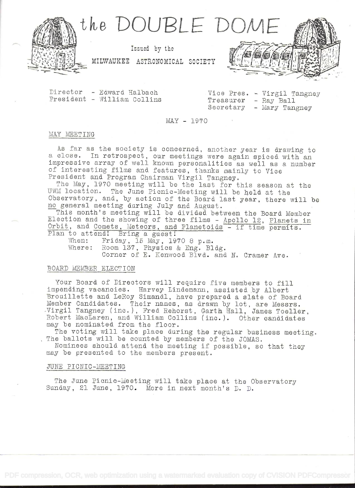

Director - Edward Halbach President - William Collins

Vice Pres. - Virgil Tangney Treasurer - Ray Ball Secretary - Mary Tangney

 $MAY - 1970$ 

#### MAY MEETING

As far as the society is concerned, another year is drawing to a close. In retrospect, our meetings were again spiced with an impressive array of well known personalities as well as a number of interesting films and features, thanks mainly to Vice President and Program Chairman Virgil Tangney.

The May, 1970 meeting will be the last for this season at the UWM location. The June Picnic-Meeting will be held at the Observatory, and, by action of the Board last year, there will be no general meeting during July and August.

This month's meeting will be divided between the Board Member Election and the showing of three films - Apollo 12, Planets in Orbit, and Comets, Meteors, and Planetoids - if time permits. Plan to attend! Bring a guest!

When: Friday, 15 May, 1970 8 p.m. Where: Room 137, Physics & Eng. Bldg. Corner of E. Kenwood Blvd. and N. Cramer Ave.

# BOARD MEMBER ELECTION

Your Board of Directors will require five members to fill impending vacancies. Harvey Lindemann, assisted by Albert Brouillette and LeRoy Simandl, have prepared a slate of Board Member Candidates. Their names, as drawn by lot, are Messrs. Virgil Tangney (inc.), Fred Rehorst, Garth Hall, James Toeller, Robert MacLaren, and William Collins (inc.). Other candidates may be nominated from the floor.

The voting will take place during the regular business meeting. The ballots will be counted by members of the JOMAS.

Nominees should attend the meeting if possible, so that they may be presented to the members present.

# JUNE PICNIC-MEETING

The June Picnic-Meeting will take place at the Observatory Sunday, 21 June, 1970. More in next month's D. D.